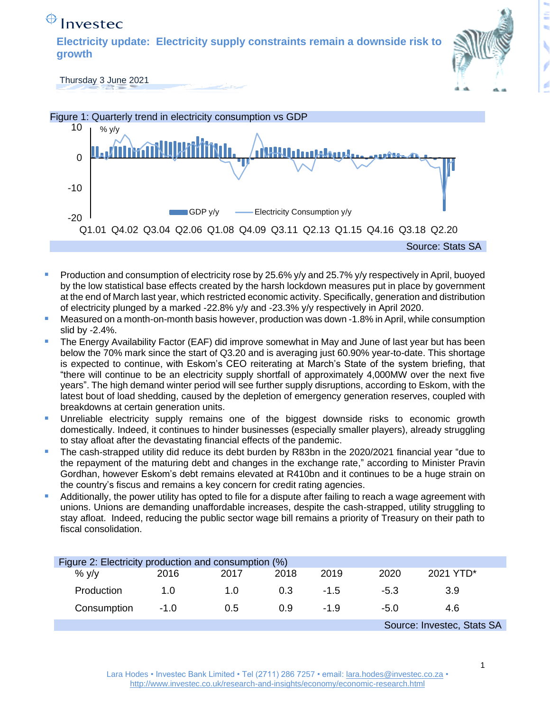## $\bigoplus$  Investec

**Electricity update: Electricity supply constraints remain a downside risk to growth** 



Thursday 3 June 2021



- Production and consumption of electricity rose by 25.6% y/y and 25.7% y/y respectively in April, buoyed by the low statistical base effects created by the harsh lockdown measures put in place by government at the end of March last year, which restricted economic activity. Specifically, generation and distribution of electricity plunged by a marked -22.8% y/y and -23.3% y/y respectively in April 2020.
- Measured on a month-on-month basis however, production was down -1.8% in April, while consumption slid by -2.4%.
- The Energy Availability Factor (EAF) did improve somewhat in May and June of last year but has been below the 70% mark since the start of Q3.20 and is averaging just 60.90% year-to-date. This shortage is expected to continue, with Eskom's CEO reiterating at March's State of the system briefing, that "there will continue to be an electricity supply shortfall of approximately 4,000MW over the next five years". The high demand winter period will see further supply disruptions, according to Eskom, with the latest bout of load shedding, caused by the depletion of emergency generation reserves, coupled with breakdowns at certain generation units.
- Unreliable electricity supply remains one of the biggest downside risks to economic growth domestically. Indeed, it continues to hinder businesses (especially smaller players), already struggling to stay afloat after the devastating financial effects of the pandemic.
- The cash-strapped utility did reduce its debt burden by R83bn in the 2020/2021 financial year "due to the repayment of the maturing debt and changes in the exchange rate," according to Minister Pravin Gordhan, however Eskom's debt remains elevated at R410bn and it continues to be a huge strain on the country's fiscus and remains a key concern for credit rating agencies.
- Additionally, the power utility has opted to file for a dispute after failing to reach a wage agreement with unions. Unions are demanding unaffordable increases, despite the cash-strapped, utility struggling to stay afloat. Indeed, reducing the public sector wage bill remains a priority of Treasury on their path to fiscal consolidation.

| Figure 2: Electricity production and consumption (%) |             |      |      |        |        |           |  |
|------------------------------------------------------|-------------|------|------|--------|--------|-----------|--|
| $%$ $V/V$                                            | 2016        | 2017 | 2018 | 2019   | 2020   | 2021 YTD* |  |
| Production                                           | 1. $\Omega$ | 1.0  | 0.3  | $-1.5$ | -5.3   | 3.9       |  |
| Consumption                                          | $-1.0$      | 0.5  | 0.9  | $-1.9$ | $-5.0$ | 4.6       |  |
| Source: Investec, Stats SA                           |             |      |      |        |        |           |  |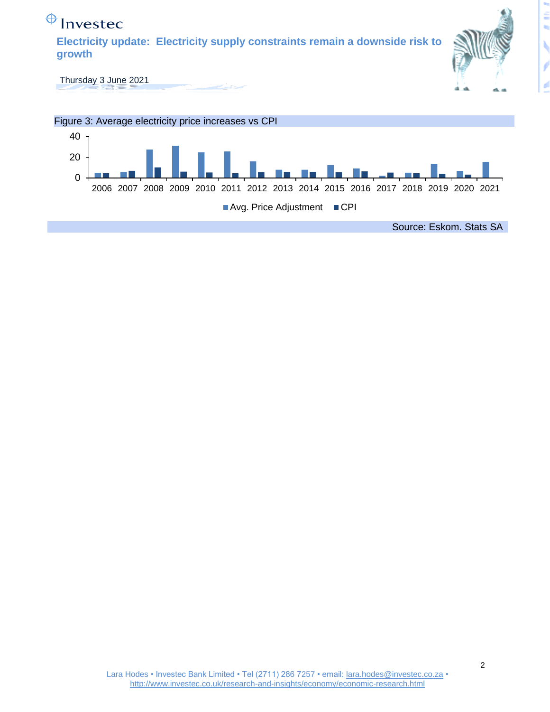

Avg. Price Adjustment CPI

Source: Eskom. Stats SA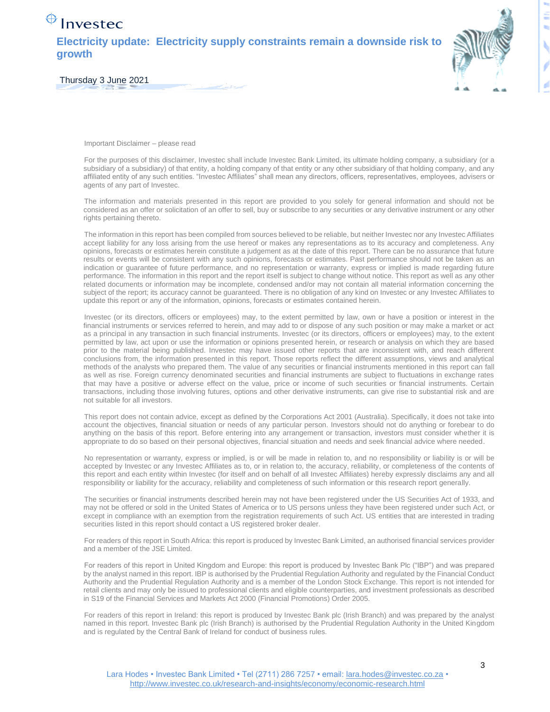## $\bigoplus$  Investec

**Electricity update: Electricity supply constraints remain a downside risk to growth** 



Thursday 3 June 2021

Important Disclaimer – please read

For the purposes of this disclaimer, Investec shall include Investec Bank Limited, its ultimate holding company, a subsidiary (or a subsidiary of a subsidiary) of that entity, a holding company of that entity or any other subsidiary of that holding company, and any affiliated entity of any such entities. "Investec Affiliates" shall mean any directors, officers, representatives, employees, advisers or agents of any part of Investec.

The information and materials presented in this report are provided to you solely for general information and should not be considered as an offer or solicitation of an offer to sell, buy or subscribe to any securities or any derivative instrument or any other rights pertaining thereto.

The information in this report has been compiled from sources believed to be reliable, but neither Investec nor any Investec Affiliates accept liability for any loss arising from the use hereof or makes any representations as to its accuracy and completeness. Any opinions, forecasts or estimates herein constitute a judgement as at the date of this report. There can be no assurance that future results or events will be consistent with any such opinions, forecasts or estimates. Past performance should not be taken as an indication or guarantee of future performance, and no representation or warranty, express or implied is made regarding future performance. The information in this report and the report itself is subject to change without notice. This report as well as any other related documents or information may be incomplete, condensed and/or may not contain all material information concerning the subject of the report; its accuracy cannot be guaranteed. There is no obligation of any kind on Investec or any Investec Affiliates to update this report or any of the information, opinions, forecasts or estimates contained herein.

Investec (or its directors, officers or employees) may, to the extent permitted by law, own or have a position or interest in the financial instruments or services referred to herein, and may add to or dispose of any such position or may make a market or act as a principal in any transaction in such financial instruments. Investec (or its directors, officers or employees) may, to the extent permitted by law, act upon or use the information or opinions presented herein, or research or analysis on which they are based prior to the material being published. Investec may have issued other reports that are inconsistent with, and reach different conclusions from, the information presented in this report. Those reports reflect the different assumptions, views and analytical methods of the analysts who prepared them. The value of any securities or financial instruments mentioned in this report can fall as well as rise. Foreign currency denominated securities and financial instruments are subject to fluctuations in exchange rates that may have a positive or adverse effect on the value, price or income of such securities or financial instruments. Certain transactions, including those involving futures, options and other derivative instruments, can give rise to substantial risk and are not suitable for all investors.

This report does not contain advice, except as defined by the Corporations Act 2001 (Australia). Specifically, it does not take into account the objectives, financial situation or needs of any particular person. Investors should not do anything or forebear to do anything on the basis of this report. Before entering into any arrangement or transaction, investors must consider whether it is appropriate to do so based on their personal objectives, financial situation and needs and seek financial advice where needed.

No representation or warranty, express or implied, is or will be made in relation to, and no responsibility or liability is or will be accepted by Investec or any Investec Affiliates as to, or in relation to, the accuracy, reliability, or completeness of the contents of this report and each entity within Investec (for itself and on behalf of all Investec Affiliates) hereby expressly disclaims any and all responsibility or liability for the accuracy, reliability and completeness of such information or this research report generally.

The securities or financial instruments described herein may not have been registered under the US Securities Act of 1933, and may not be offered or sold in the United States of America or to US persons unless they have been registered under such Act, or except in compliance with an exemption from the registration requirements of such Act. US entities that are interested in trading securities listed in this report should contact a US registered broker dealer.

For readers of this report in South Africa: this report is produced by Investec Bank Limited, an authorised financial services provider and a member of the JSE Limited.

For readers of this report in United Kingdom and Europe: this report is produced by Investec Bank Plc ("IBP") and was prepared by the analyst named in this report. IBP is authorised by the Prudential Regulation Authority and regulated by the Financial Conduct Authority and the Prudential Regulation Authority and is a member of the London Stock Exchange. This report is not intended for retail clients and may only be issued to professional clients and eligible counterparties, and investment professionals as described in S19 of the Financial Services and Markets Act 2000 (Financial Promotions) Order 2005.

For readers of this report in Ireland: this report is produced by Investec Bank plc (Irish Branch) and was prepared by the analyst named in this report. Investec Bank plc (Irish Branch) is authorised by the Prudential Regulation Authority in the United Kingdom and is regulated by the Central Bank of Ireland for conduct of business rules.